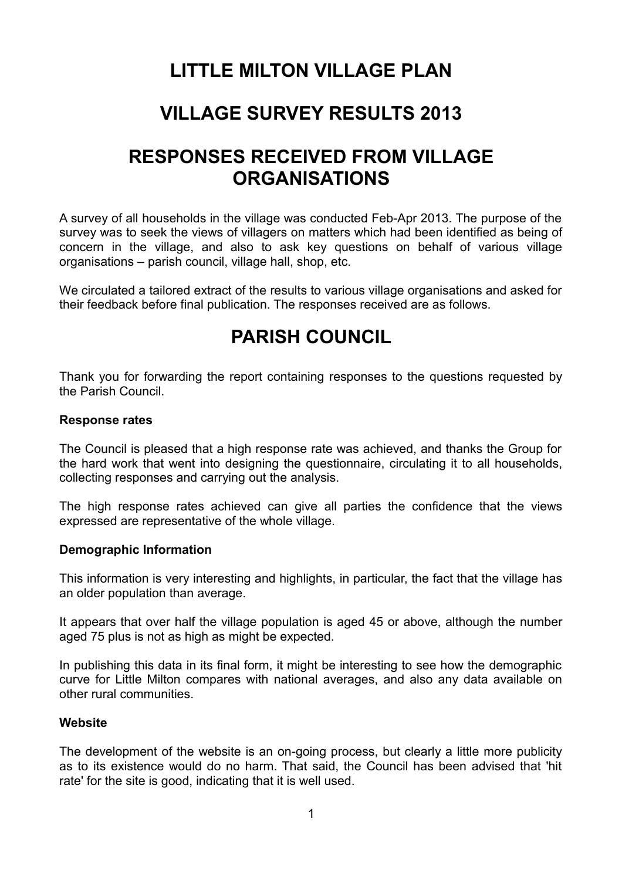# **LITTLE MILTON VILLAGE PLAN**

# **VILLAGE SURVEY RESULTS 2013**

# **RESPONSES RECEIVED FROM VILLAGE ORGANISATIONS**

A survey of all households in the village was conducted Feb-Apr 2013. The purpose of the survey was to seek the views of villagers on matters which had been identified as being of concern in the village, and also to ask key questions on behalf of various village organisations – parish council, village hall, shop, etc.

We circulated a tailored extract of the results to various village organisations and asked for their feedback before final publication. The responses received are as follows.

# **PARISH COUNCIL**

Thank you for forwarding the report containing responses to the questions requested by the Parish Council.

#### **Response rates**

The Council is pleased that a high response rate was achieved, and thanks the Group for the hard work that went into designing the questionnaire, circulating it to all households, collecting responses and carrying out the analysis.

The high response rates achieved can give all parties the confidence that the views expressed are representative of the whole village.

#### **Demographic Information**

This information is very interesting and highlights, in particular, the fact that the village has an older population than average.

It appears that over half the village population is aged 45 or above, although the number aged 75 plus is not as high as might be expected.

In publishing this data in its final form, it might be interesting to see how the demographic curve for Little Milton compares with national averages, and also any data available on other rural communities.

#### **Website**

The development of the website is an on-going process, but clearly a little more publicity as to its existence would do no harm. That said, the Council has been advised that 'hit rate' for the site is good, indicating that it is well used.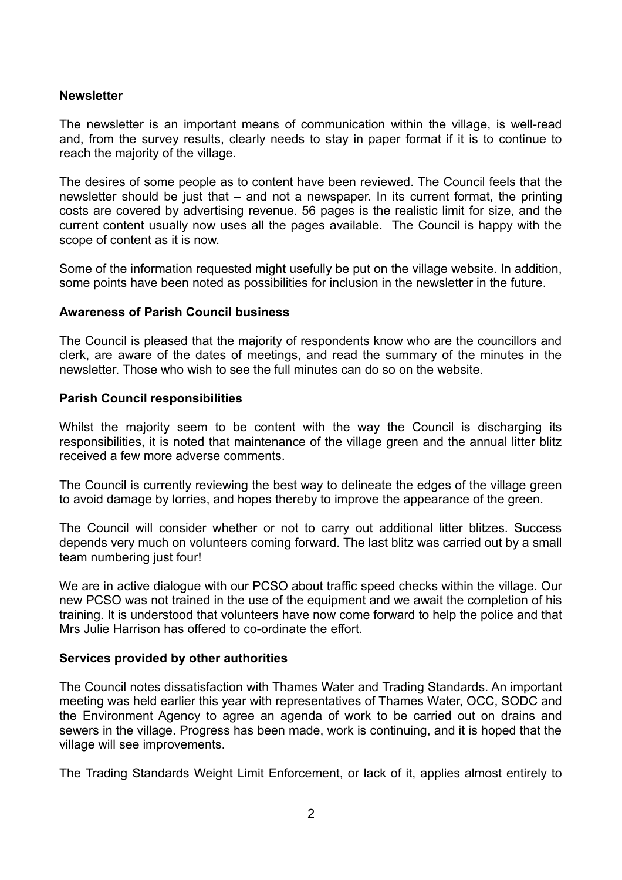#### **Newsletter**

The newsletter is an important means of communication within the village, is well-read and, from the survey results, clearly needs to stay in paper format if it is to continue to reach the majority of the village.

The desires of some people as to content have been reviewed. The Council feels that the newsletter should be just that – and not a newspaper. In its current format, the printing costs are covered by advertising revenue. 56 pages is the realistic limit for size, and the current content usually now uses all the pages available. The Council is happy with the scope of content as it is now.

Some of the information requested might usefully be put on the village website. In addition, some points have been noted as possibilities for inclusion in the newsletter in the future.

#### **Awareness of Parish Council business**

The Council is pleased that the majority of respondents know who are the councillors and clerk, are aware of the dates of meetings, and read the summary of the minutes in the newsletter. Those who wish to see the full minutes can do so on the website.

#### **Parish Council responsibilities**

Whilst the majority seem to be content with the way the Council is discharging its responsibilities, it is noted that maintenance of the village green and the annual litter blitz received a few more adverse comments.

The Council is currently reviewing the best way to delineate the edges of the village green to avoid damage by lorries, and hopes thereby to improve the appearance of the green.

The Council will consider whether or not to carry out additional litter blitzes. Success depends very much on volunteers coming forward. The last blitz was carried out by a small team numbering just four!

We are in active dialogue with our PCSO about traffic speed checks within the village. Our new PCSO was not trained in the use of the equipment and we await the completion of his training. It is understood that volunteers have now come forward to help the police and that Mrs Julie Harrison has offered to co-ordinate the effort.

#### **Services provided by other authorities**

The Council notes dissatisfaction with Thames Water and Trading Standards. An important meeting was held earlier this year with representatives of Thames Water, OCC, SODC and the Environment Agency to agree an agenda of work to be carried out on drains and sewers in the village. Progress has been made, work is continuing, and it is hoped that the village will see improvements.

The Trading Standards Weight Limit Enforcement, or lack of it, applies almost entirely to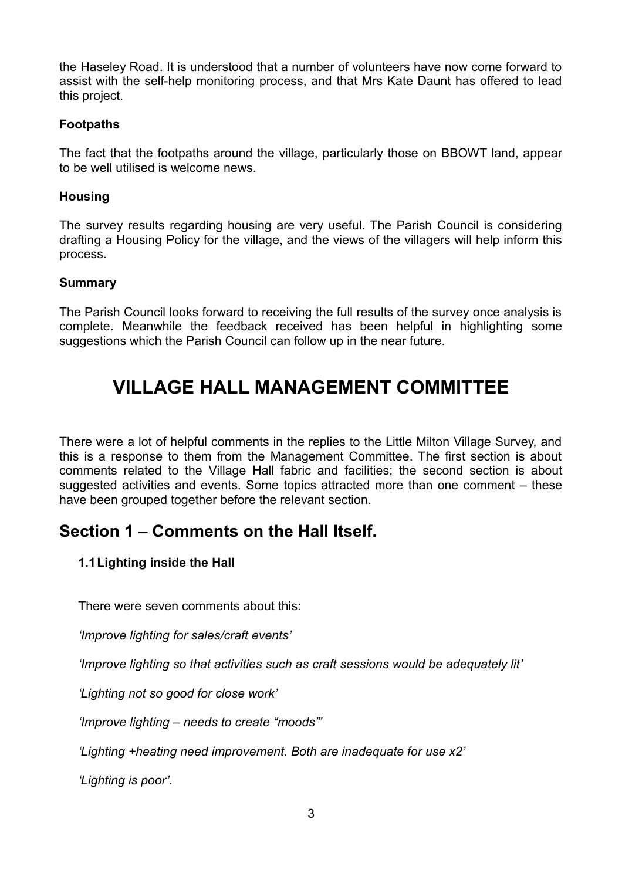the Haseley Road. It is understood that a number of volunteers have now come forward to assist with the self-help monitoring process, and that Mrs Kate Daunt has offered to lead this project.

#### **Footpaths**

The fact that the footpaths around the village, particularly those on BBOWT land, appear to be well utilised is welcome news.

#### **Housing**

The survey results regarding housing are very useful. The Parish Council is considering drafting a Housing Policy for the village, and the views of the villagers will help inform this process.

### **Summary**

The Parish Council looks forward to receiving the full results of the survey once analysis is complete. Meanwhile the feedback received has been helpful in highlighting some suggestions which the Parish Council can follow up in the near future.

# **VILLAGE HALL MANAGEMENT COMMITTEE**

There were a lot of helpful comments in the replies to the Little Milton Village Survey, and this is a response to them from the Management Committee. The first section is about comments related to the Village Hall fabric and facilities; the second section is about suggested activities and events. Some topics attracted more than one comment – these have been grouped together before the relevant section.

# **Section 1 – Comments on the Hall Itself.**

## **1.1Lighting inside the Hall**

There were seven comments about this:

*'Improve lighting for sales/craft events'*

*'Improve lighting so that activities such as craft sessions would be adequately lit'*

*'Lighting not so good for close work'*

*'Improve lighting – needs to create "moods"'*

*'Lighting +heating need improvement. Both are inadequate for use x2'*

*'Lighting is poor'.*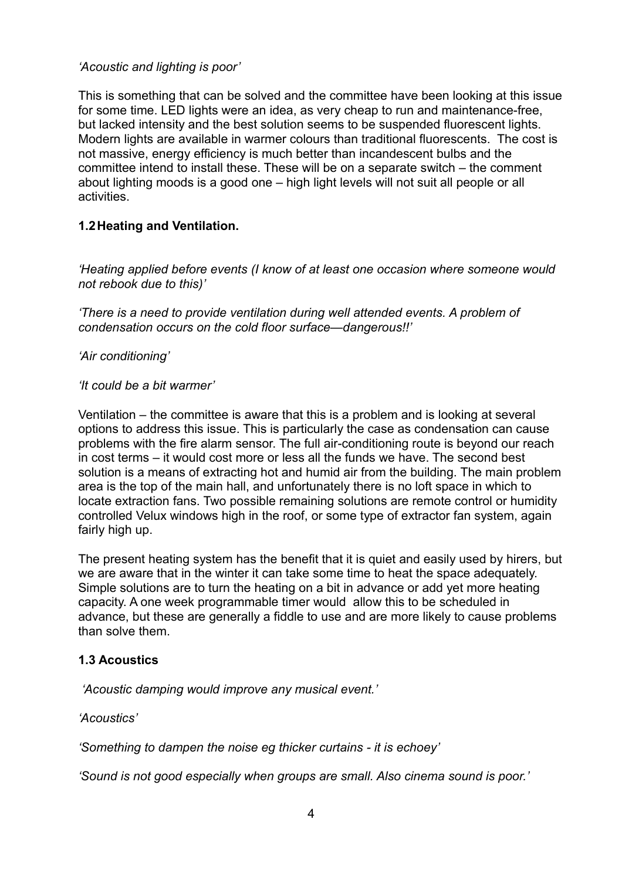### *'Acoustic and lighting is poor'*

This is something that can be solved and the committee have been looking at this issue for some time. LED lights were an idea, as very cheap to run and maintenance-free, but lacked intensity and the best solution seems to be suspended fluorescent lights. Modern lights are available in warmer colours than traditional fluorescents. The cost is not massive, energy efficiency is much better than incandescent bulbs and the committee intend to install these. These will be on a separate switch – the comment about lighting moods is a good one – high light levels will not suit all people or all activities.

### **1.2Heating and Ventilation.**

*'Heating applied before events (I know of at least one occasion where someone would not rebook due to this)'*

*'There is a need to provide ventilation during well attended events. A problem of condensation occurs on the cold floor surface—dangerous!!'*

*'Air conditioning'*

#### *'It could be a bit warmer'*

Ventilation – the committee is aware that this is a problem and is looking at several options to address this issue. This is particularly the case as condensation can cause problems with the fire alarm sensor. The full air-conditioning route is beyond our reach in cost terms – it would cost more or less all the funds we have. The second best solution is a means of extracting hot and humid air from the building. The main problem area is the top of the main hall, and unfortunately there is no loft space in which to locate extraction fans. Two possible remaining solutions are remote control or humidity controlled Velux windows high in the roof, or some type of extractor fan system, again fairly high up.

The present heating system has the benefit that it is quiet and easily used by hirers, but we are aware that in the winter it can take some time to heat the space adequately. Simple solutions are to turn the heating on a bit in advance or add yet more heating capacity. A one week programmable timer would allow this to be scheduled in advance, but these are generally a fiddle to use and are more likely to cause problems than solve them.

#### **1.3 Acoustics**

 *'Acoustic damping would improve any musical event.'*

*'Acoustics'*

*'Something to dampen the noise eg thicker curtains - it is echoey'*

*'Sound is not good especially when groups are small. Also cinema sound is poor.'*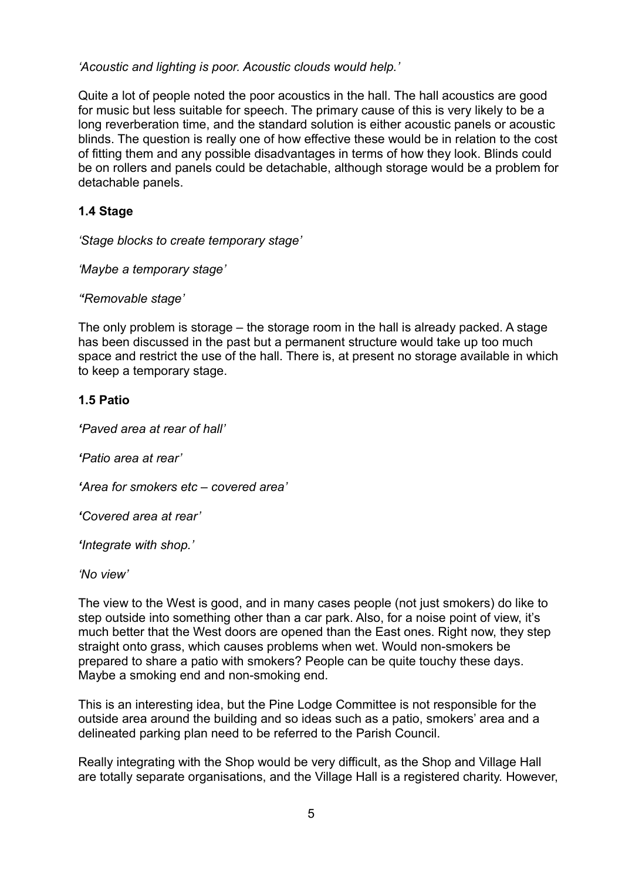*'Acoustic and lighting is poor. Acoustic clouds would help.'*

Quite a lot of people noted the poor acoustics in the hall. The hall acoustics are good for music but less suitable for speech. The primary cause of this is very likely to be a long reverberation time, and the standard solution is either acoustic panels or acoustic blinds. The question is really one of how effective these would be in relation to the cost of fitting them and any possible disadvantages in terms of how they look. Blinds could be on rollers and panels could be detachable, although storage would be a problem for detachable panels.

## **1.4 Stage**

*'Stage blocks to create temporary stage'*

*'Maybe a temporary stage'*

*''Removable stage'*

The only problem is storage – the storage room in the hall is already packed. A stage has been discussed in the past but a permanent structure would take up too much space and restrict the use of the hall. There is, at present no storage available in which to keep a temporary stage.

### **1.5 Patio**

*'Paved area at rear of hall'*

*'Patio area at rear'*

*'Area for smokers etc – covered area'*

*'Covered area at rear'*

*'Integrate with shop.'*

*'No view'*

The view to the West is good, and in many cases people (not just smokers) do like to step outside into something other than a car park. Also, for a noise point of view, it's much better that the West doors are opened than the East ones. Right now, they step straight onto grass, which causes problems when wet. Would non-smokers be prepared to share a patio with smokers? People can be quite touchy these days. Maybe a smoking end and non-smoking end.

This is an interesting idea, but the Pine Lodge Committee is not responsible for the outside area around the building and so ideas such as a patio, smokers' area and a delineated parking plan need to be referred to the Parish Council.

Really integrating with the Shop would be very difficult, as the Shop and Village Hall are totally separate organisations, and the Village Hall is a registered charity. However,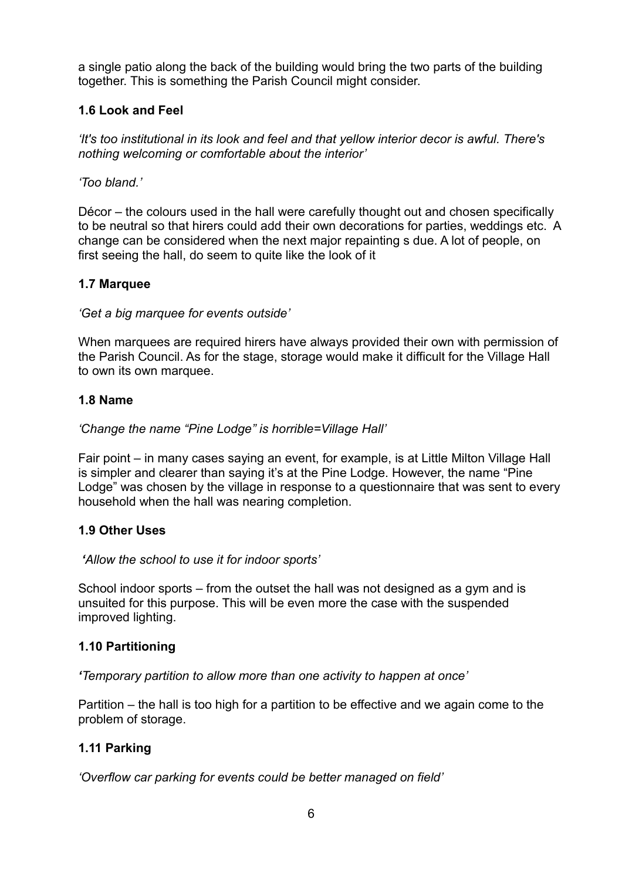a single patio along the back of the building would bring the two parts of the building together. This is something the Parish Council might consider.

## **1.6 Look and Feel**

*'It's too institutional in its look and feel and that yellow interior decor is awful. There's nothing welcoming or comfortable about the interior'*

### *'Too bland.'*

Décor – the colours used in the hall were carefully thought out and chosen specifically to be neutral so that hirers could add their own decorations for parties, weddings etc. A change can be considered when the next major repainting s due. A lot of people, on first seeing the hall, do seem to quite like the look of it

### **1.7 Marquee**

### *'Get a big marquee for events outside'*

When marquees are required hirers have always provided their own with permission of the Parish Council. As for the stage, storage would make it difficult for the Village Hall to own its own marquee.

### **1.8 Name**

### *'Change the name "Pine Lodge" is horrible=Village Hall'*

Fair point – in many cases saying an event, for example, is at Little Milton Village Hall is simpler and clearer than saying it's at the Pine Lodge. However, the name "Pine Lodge" was chosen by the village in response to a questionnaire that was sent to every household when the hall was nearing completion.

## **1.9 Other Uses**

#### *'Allow the school to use it for indoor sports'*

School indoor sports – from the outset the hall was not designed as a gym and is unsuited for this purpose. This will be even more the case with the suspended improved lighting.

## **1.10 Partitioning**

*'Temporary partition to allow more than one activity to happen at once'*

Partition – the hall is too high for a partition to be effective and we again come to the problem of storage.

## **1.11 Parking**

*'Overflow car parking for events could be better managed on field'*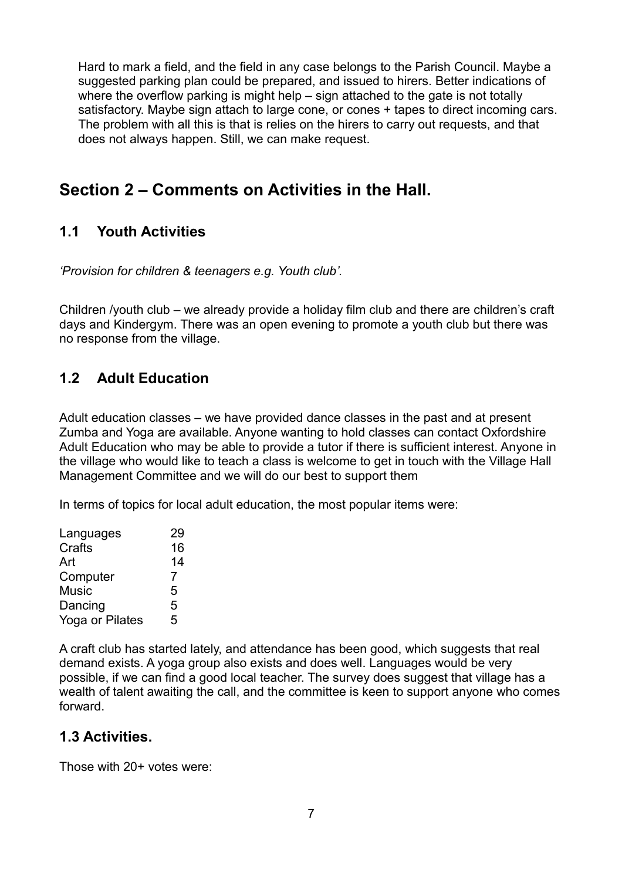Hard to mark a field, and the field in any case belongs to the Parish Council. Maybe a suggested parking plan could be prepared, and issued to hirers. Better indications of where the overflow parking is might help – sign attached to the gate is not totally satisfactory. Maybe sign attach to large cone, or cones + tapes to direct incoming cars. The problem with all this is that is relies on the hirers to carry out requests, and that does not always happen. Still, we can make request.

# **Section 2 – Comments on Activities in the Hall.**

# **1.1 Youth Activities**

*'Provision for children & teenagers e.g. Youth club'.*

Children /youth club – we already provide a holiday film club and there are children's craft days and Kindergym. There was an open evening to promote a youth club but there was no response from the village.

## **1.2 Adult Education**

Adult education classes – we have provided dance classes in the past and at present Zumba and Yoga are available. Anyone wanting to hold classes can contact Oxfordshire Adult Education who may be able to provide a tutor if there is sufficient interest. Anyone in the village who would like to teach a class is welcome to get in touch with the Village Hall Management Committee and we will do our best to support them

In terms of topics for local adult education, the most popular items were:

| Languages       | 29 |
|-----------------|----|
| Crafts          | 16 |
| Art             | 14 |
| Computer        | 7  |
| Music           | 5  |
| Dancing         | 5  |
| Yoga or Pilates | 5  |
|                 |    |

A craft club has started lately, and attendance has been good, which suggests that real demand exists. A yoga group also exists and does well. Languages would be very possible, if we can find a good local teacher. The survey does suggest that village has a wealth of talent awaiting the call, and the committee is keen to support anyone who comes forward.

## **1.3 Activities.**

Those with 20+ votes were: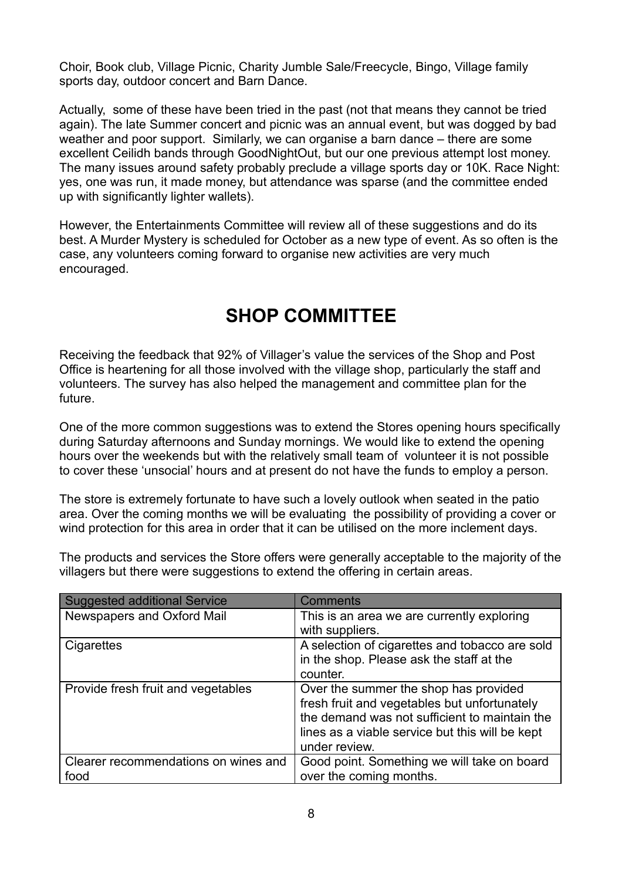Choir, Book club, Village Picnic, Charity Jumble Sale/Freecycle, Bingo, Village family sports day, outdoor concert and Barn Dance.

Actually, some of these have been tried in the past (not that means they cannot be tried again). The late Summer concert and picnic was an annual event, but was dogged by bad weather and poor support. Similarly, we can organise a barn dance – there are some excellent Ceilidh bands through GoodNightOut, but our one previous attempt lost money. The many issues around safety probably preclude a village sports day or 10K. Race Night: yes, one was run, it made money, but attendance was sparse (and the committee ended up with significantly lighter wallets).

However, the Entertainments Committee will review all of these suggestions and do its best. A Murder Mystery is scheduled for October as a new type of event. As so often is the case, any volunteers coming forward to organise new activities are very much encouraged.

# **SHOP COMMITTEE**

Receiving the feedback that 92% of Villager's value the services of the Shop and Post Office is heartening for all those involved with the village shop, particularly the staff and volunteers. The survey has also helped the management and committee plan for the future.

One of the more common suggestions was to extend the Stores opening hours specifically during Saturday afternoons and Sunday mornings. We would like to extend the opening hours over the weekends but with the relatively small team of volunteer it is not possible to cover these 'unsocial' hours and at present do not have the funds to employ a person.

The store is extremely fortunate to have such a lovely outlook when seated in the patio area. Over the coming months we will be evaluating the possibility of providing a cover or wind protection for this area in order that it can be utilised on the more inclement days.

The products and services the Store offers were generally acceptable to the majority of the villagers but there were suggestions to extend the offering in certain areas.

| <b>Suggested additional Service</b>          | <b>Comments</b>                                                                                                                                                                                            |
|----------------------------------------------|------------------------------------------------------------------------------------------------------------------------------------------------------------------------------------------------------------|
| Newspapers and Oxford Mail                   | This is an area we are currently exploring<br>with suppliers.                                                                                                                                              |
| Cigarettes                                   | A selection of cigarettes and tobacco are sold<br>in the shop. Please ask the staff at the<br>counter.                                                                                                     |
| Provide fresh fruit and vegetables           | Over the summer the shop has provided<br>fresh fruit and vegetables but unfortunately<br>the demand was not sufficient to maintain the<br>lines as a viable service but this will be kept<br>under review. |
| Clearer recommendations on wines and<br>food | Good point. Something we will take on board<br>over the coming months.                                                                                                                                     |